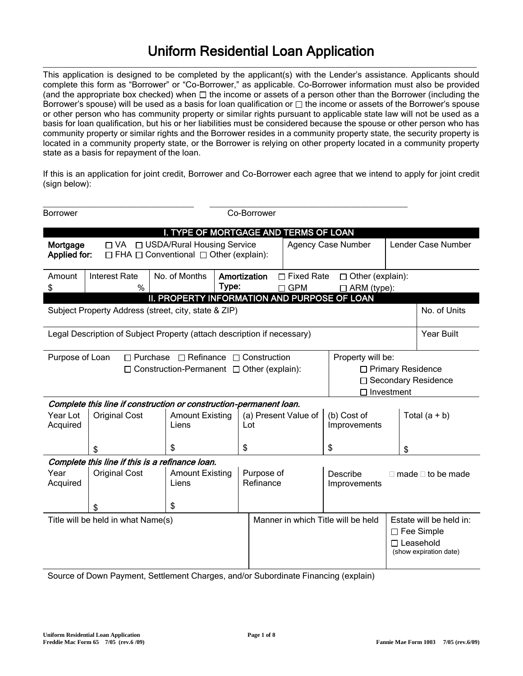## Uniform Residential Loan Application  $\_$  ,  $\_$  ,  $\_$  ,  $\_$  ,  $\_$  ,  $\_$  ,  $\_$  ,  $\_$  ,  $\_$  ,  $\_$  ,  $\_$  ,  $\_$  ,  $\_$  ,  $\_$  ,  $\_$  ,  $\_$  ,  $\_$  ,  $\_$  ,  $\_$  ,  $\_$  ,  $\_$  ,  $\_$  ,  $\_$  ,  $\_$  ,  $\_$  ,  $\_$  ,  $\_$  ,  $\_$  ,  $\_$  ,  $\_$  ,  $\_$  ,  $\_$  ,  $\_$  ,  $\_$  ,  $\_$  ,  $\_$  ,  $\_$  ,

This application is designed to be completed by the applicant(s) with the Lender's assistance. Applicants should complete this form as "Borrower" or "Co-Borrower," as applicable. Co-Borrower information must also be provided (and the appropriate box checked) when  $\Box$  the income or assets of a person other than the Borrower (including the Borrower's spouse) will be used as a basis for loan qualification or  $\Box$  the income or assets of the Borrower's spouse or other person who has community property or similar rights pursuant to applicable state law will not be used as a basis for loan qualification, but his or her liabilities must be considered because the spouse or other person who has community property or similar rights and the Borrower resides in a community property state, the security property is located in a community property state, or the Borrower is relying on other property located in a community property state as a basis for repayment of the loan.

If this is an application for joint credit, Borrower and Co-Borrower each agree that we intend to apply for joint credit (sign below):

| <b>Borrower</b>                                                                                                                                                                                                             | Co-Borrower          |                                                                                                               |    |                             |  |                                        |    |                                                                                            |
|-----------------------------------------------------------------------------------------------------------------------------------------------------------------------------------------------------------------------------|----------------------|---------------------------------------------------------------------------------------------------------------|----|-----------------------------|--|----------------------------------------|----|--------------------------------------------------------------------------------------------|
| I. TYPE OF MORTGAGE AND TERMS OF LOAN<br>□ USDA/Rural Housing Service<br>Lender Case Number<br>$\Box$ VA<br><b>Agency Case Number</b><br>Mortgage<br>Applied for:<br>$\Box$ FHA $\Box$ Conventional $\Box$ Other (explain): |                      |                                                                                                               |    |                             |  |                                        |    |                                                                                            |
| No. of Months<br>Amortization<br><b>Interest Rate</b><br>$\Box$ Fixed Rate<br>$\Box$ Other (explain):<br>Amount<br>Type:<br>\$<br>%<br>$\Box$ GPM<br>$\Box$ ARM (type):<br>II. PROPERTY INFORMATION AND PURPOSE OF LOAN     |                      |                                                                                                               |    |                             |  |                                        |    |                                                                                            |
|                                                                                                                                                                                                                             |                      | Subject Property Address (street, city, state & ZIP)                                                          |    |                             |  |                                        |    | No. of Units                                                                               |
|                                                                                                                                                                                                                             |                      | Legal Description of Subject Property (attach description if necessary)                                       |    |                             |  |                                        |    | <b>Year Built</b>                                                                          |
| Purpose of Loan                                                                                                                                                                                                             |                      | $\Box$ Purchase $\Box$ Refinance $\Box$ Construction<br>$\Box$ Construction-Permanent $\Box$ Other (explain): |    |                             |  | Property will be:<br>$\Box$ Investment |    | □ Primary Residence<br>□ Secondary Residence                                               |
|                                                                                                                                                                                                                             |                      | Complete this line if construction or construction-permanent loan.                                            |    |                             |  |                                        |    |                                                                                            |
| Year Lot<br>Acquired                                                                                                                                                                                                        | <b>Original Cost</b> | <b>Amount Existing</b><br>Liens                                                                               |    | (a) Present Value of<br>Lot |  | (b) Cost of<br>Improvements            |    | Total $(a + b)$                                                                            |
|                                                                                                                                                                                                                             | S                    | \$                                                                                                            | \$ |                             |  | \$                                     | \$ |                                                                                            |
|                                                                                                                                                                                                                             |                      | Complete this line if this is a refinance loan.                                                               |    |                             |  |                                        |    |                                                                                            |
| Year<br>Acquired                                                                                                                                                                                                            | <b>Original Cost</b> | <b>Amount Existing</b><br>Liens                                                                               |    | Purpose of<br>Refinance     |  | Describe<br>Improvements               |    | $\Box$ made $\Box$ to be made                                                              |
|                                                                                                                                                                                                                             |                      | \$                                                                                                            |    |                             |  |                                        |    |                                                                                            |
| Title will be held in what Name(s)                                                                                                                                                                                          |                      |                                                                                                               |    |                             |  | Manner in which Title will be held     |    | Estate will be held in:<br>$\Box$ Fee Simple<br>$\Box$ Leasehold<br>(show expiration date) |

Source of Down Payment, Settlement Charges, and/or Subordinate Financing (explain)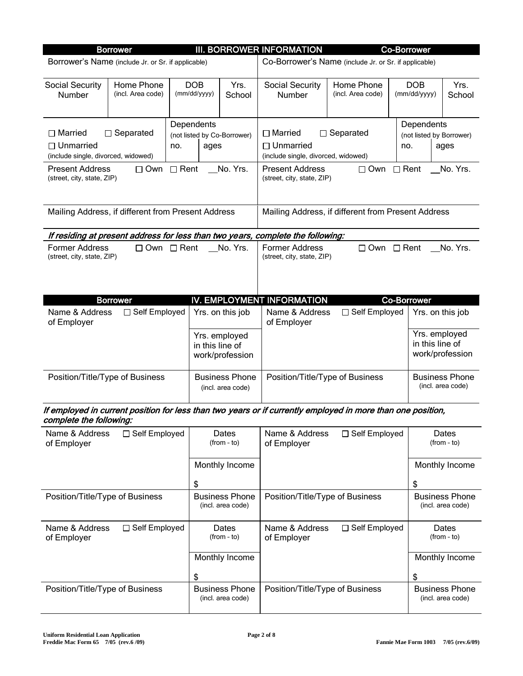| <b>Borrower</b>                                                                                                                                                                                         |                                 |  |                            |                                            | <b>III. BORROWER INFORMATION</b>                                                                                                  |                                 |                    | <b>Co-Borrower</b>                     |                                            |
|---------------------------------------------------------------------------------------------------------------------------------------------------------------------------------------------------------|---------------------------------|--|----------------------------|--------------------------------------------|-----------------------------------------------------------------------------------------------------------------------------------|---------------------------------|--------------------|----------------------------------------|--------------------------------------------|
| Borrower's Name (include Jr. or Sr. if applicable)                                                                                                                                                      |                                 |  |                            |                                            | Co-Borrower's Name (include Jr. or Sr. if applicable)                                                                             |                                 |                    |                                        |                                            |
| <b>Social Security</b><br>Number                                                                                                                                                                        | Home Phone<br>(incl. Area code) |  | <b>DOB</b><br>(mm/dd/yyyy) | Yrs.<br>School                             | <b>Social Security</b><br>Number                                                                                                  | Home Phone<br>(incl. Area code) |                    | <b>DOB</b><br>(mm/dd/yyyy)             | Yrs.<br>School                             |
| Dependents<br>$\Box$ Married<br>$\Box$ Separated<br>$\Box$ Unmarried<br>no.<br>(include single, divorced, widowed)<br>$\Box$ Rent<br><b>Present Address</b><br>$\Box$ Own<br>(street, city, state, ZIP) |                                 |  | ages                       | (not listed by Co-Borrower)<br>No. Yrs.    | $\Box$ Married<br>$\Box$ Unmarried<br>(include single, divorced, widowed)<br><b>Present Address</b><br>(street, city, state, ZIP) | $\Box$ Separated<br>$\Box$ Own  | no.<br>$\Box$ Rent | Dependents<br>(not listed by Borrower) | ages<br>No. Yrs.                           |
| Mailing Address, if different from Present Address                                                                                                                                                      |                                 |  |                            |                                            | Mailing Address, if different from Present Address                                                                                |                                 |                    |                                        |                                            |
|                                                                                                                                                                                                         |                                 |  |                            |                                            | If residing at present address for less than two years, complete the following:                                                   |                                 |                    |                                        |                                            |
| <b>Former Address</b><br>(street, city, state, ZIP)                                                                                                                                                     | $\Box$ Own $\Box$ Rent          |  |                            | No. Yrs.                                   | <b>Former Address</b><br>(street, city, state, ZIP)                                                                               | $\Box$ Own $\Box$ Rent          |                    |                                        | No. Yrs.                                   |
|                                                                                                                                                                                                         | <b>Borrower</b>                 |  |                            |                                            | IV. EMPLOYMENT INFORMATION                                                                                                        |                                 |                    | <b>Co-Borrower</b>                     |                                            |
| Name & Address<br>of Employer                                                                                                                                                                           | □ Self Employed                 |  |                            | Yrs. on this job                           | Name & Address<br>of Employer                                                                                                     | □ Self Employed                 |                    | Yrs. on this job                       |                                            |
|                                                                                                                                                                                                         |                                 |  | in this line of            | Yrs. employed<br>work/profession           |                                                                                                                                   |                                 |                    | Yrs. employed<br>in this line of       | work/profession                            |
| Position/Title/Type of Business                                                                                                                                                                         |                                 |  |                            | <b>Business Phone</b><br>(incl. area code) | Position/Title/Type of Business                                                                                                   |                                 |                    |                                        | <b>Business Phone</b><br>(incl. area code) |
| complete the following:                                                                                                                                                                                 |                                 |  |                            |                                            | If employed in current position for less than two years or if currently employed in more than one position,                       |                                 |                    |                                        |                                            |
| Name & Address<br>of Employer                                                                                                                                                                           | □ Self Employed                 |  |                            | Dates<br>$(from - to)$                     | Name & Address<br>of Employer                                                                                                     | □ Self Employed                 |                    |                                        | Dates<br>(from - to)                       |
|                                                                                                                                                                                                         |                                 |  | \$                         | Monthly Income                             |                                                                                                                                   |                                 |                    | \$                                     | Monthly Income                             |
| Position/Title/Type of Business                                                                                                                                                                         |                                 |  |                            | <b>Business Phone</b><br>(incl. area code) | Position/Title/Type of Business                                                                                                   |                                 |                    |                                        | <b>Business Phone</b><br>(incl. area code) |
| Name & Address<br>of Employer                                                                                                                                                                           | □ Self Employed                 |  |                            | Dates<br>$(from - to)$                     | Name & Address<br>of Employer                                                                                                     | □ Self Employed                 |                    |                                        | Dates<br>$(from - to)$                     |
|                                                                                                                                                                                                         |                                 |  | \$                         | Monthly Income                             |                                                                                                                                   |                                 |                    | \$                                     | Monthly Income                             |
|                                                                                                                                                                                                         |                                 |  |                            |                                            |                                                                                                                                   |                                 |                    |                                        |                                            |
| Position/Title/Type of Business                                                                                                                                                                         |                                 |  |                            | <b>Business Phone</b><br>(incl. area code) | Position/Title/Type of Business                                                                                                   |                                 |                    |                                        | <b>Business Phone</b><br>(incl. area code) |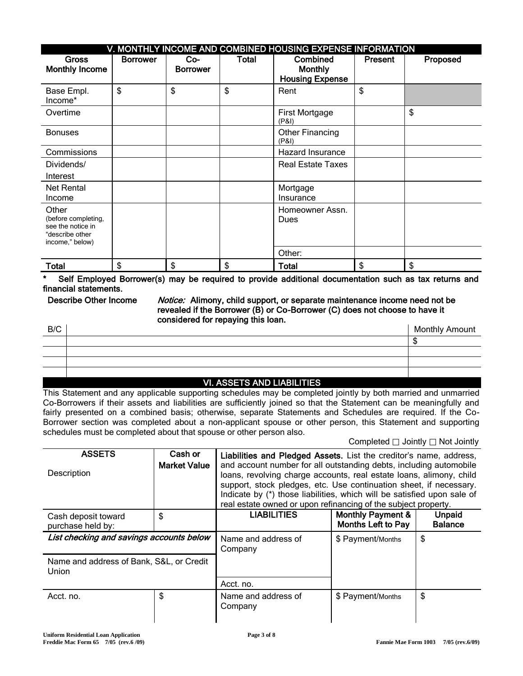|                                                                                         | V. MONTHLY INCOME AND COMBINED HOUSING EXPENSE INFORMATION |                          |              |                                                      |                |          |  |  |  |  |
|-----------------------------------------------------------------------------------------|------------------------------------------------------------|--------------------------|--------------|------------------------------------------------------|----------------|----------|--|--|--|--|
| <b>Gross</b><br><b>Monthly Income</b>                                                   | <b>Borrower</b>                                            | $Co-$<br><b>Borrower</b> | <b>Total</b> | Combined<br><b>Monthly</b><br><b>Housing Expense</b> | <b>Present</b> | Proposed |  |  |  |  |
| Base Empl.<br>Income*                                                                   | \$                                                         | \$                       | \$           | Rent                                                 | \$             |          |  |  |  |  |
| Overtime                                                                                |                                                            |                          |              | First Mortgage<br>(P&I)                              |                | \$       |  |  |  |  |
| <b>Bonuses</b>                                                                          |                                                            |                          |              | Other Financing<br>(P&I)                             |                |          |  |  |  |  |
| Commissions                                                                             |                                                            |                          |              | Hazard Insurance                                     |                |          |  |  |  |  |
| Dividends/<br>Interest                                                                  |                                                            |                          |              | <b>Real Estate Taxes</b>                             |                |          |  |  |  |  |
| Net Rental<br>Income                                                                    |                                                            |                          |              | Mortgage<br>Insurance                                |                |          |  |  |  |  |
| Other<br>(before completing,<br>see the notice in<br>"describe other<br>income," below) |                                                            |                          |              | Homeowner Assn.<br>Dues                              |                |          |  |  |  |  |
|                                                                                         |                                                            |                          |              | Other:                                               |                |          |  |  |  |  |
| <b>Total</b>                                                                            | \$                                                         | \$                       | \$           | <b>Total</b>                                         | \$             | \$       |  |  |  |  |

Self Employed Borrower(s) may be required to provide additional documentation such as tax returns and financial statements.

Describe Other Income Motice: Alimony, child support, or separate maintenance income need not be revealed if the Borrower (B) or Co-Borrower (C) does not choose to have it considered for repaying this loan.

|     | $10.400770$ $115.1101$ $7770$ |                |
|-----|-------------------------------|----------------|
|     |                               |                |
|     |                               |                |
|     |                               |                |
|     |                               |                |
| B/C |                               | Monthly Amount |

## VI. ASSETS AND LIABILITIES

This Statement and any applicable supporting schedules may be completed jointly by both married and unmarried Co-Borrowers if their assets and liabilities are sufficiently joined so that the Statement can be meaningfully and fairly presented on a combined basis; otherwise, separate Statements and Schedules are required. If the Co-Borrower section was completed about a non-applicant spouse or other person, this Statement and supporting schedules must be completed about that spouse or other person also.

Completed  $\Box$  Jointly  $\Box$  Not Jointly

| <b>ASSETS</b><br>Description                             | Cash or<br><b>Market Value</b> | Liabilities and Pledged Assets. List the creditor's name, address,<br>and account number for all outstanding debts, including automobile<br>loans, revolving charge accounts, real estate loans, alimony, child<br>support, stock pledges, etc. Use continuation sheet, if necessary.<br>Indicate by (*) those liabilities, which will be satisfied upon sale of<br>real estate owned or upon refinancing of the subject property. |                                                           |                                 |  |  |
|----------------------------------------------------------|--------------------------------|------------------------------------------------------------------------------------------------------------------------------------------------------------------------------------------------------------------------------------------------------------------------------------------------------------------------------------------------------------------------------------------------------------------------------------|-----------------------------------------------------------|---------------------------------|--|--|
| Cash deposit toward<br>purchase held by:                 | \$                             | <b>LIABILITIES</b>                                                                                                                                                                                                                                                                                                                                                                                                                 | <b>Monthly Payment &amp;</b><br><b>Months Left to Pay</b> | <b>Unpaid</b><br><b>Balance</b> |  |  |
| List checking and savings accounts below                 |                                | Name and address of<br>Company                                                                                                                                                                                                                                                                                                                                                                                                     | \$ Payment/Months                                         | \$                              |  |  |
| Name and address of Bank, S&L, or Credit<br><b>Union</b> |                                |                                                                                                                                                                                                                                                                                                                                                                                                                                    |                                                           |                                 |  |  |
|                                                          |                                | Acct. no.                                                                                                                                                                                                                                                                                                                                                                                                                          |                                                           |                                 |  |  |
| Acct. no.                                                | \$                             | Name and address of<br>Company                                                                                                                                                                                                                                                                                                                                                                                                     | \$ Payment/Months                                         | \$                              |  |  |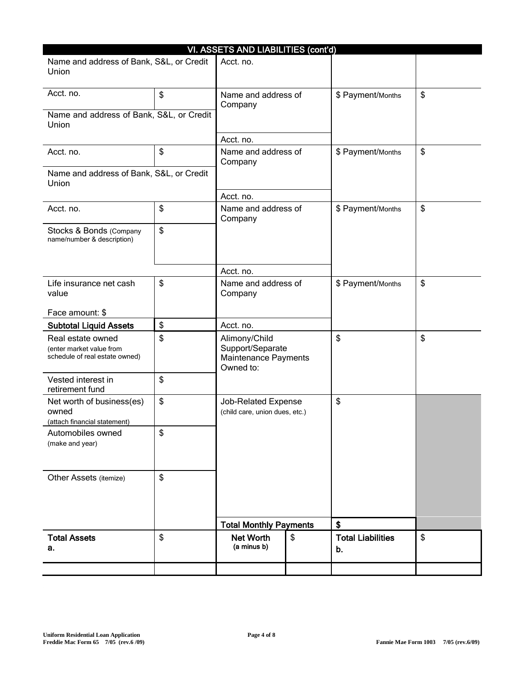| VI. ASSETS AND LIABILITIES (cont'd)                                             |    |                                                                        |    |                                |    |  |  |  |
|---------------------------------------------------------------------------------|----|------------------------------------------------------------------------|----|--------------------------------|----|--|--|--|
| Name and address of Bank, S&L, or Credit<br>Union                               |    | Acct. no.                                                              |    |                                |    |  |  |  |
| Acct. no.                                                                       | \$ | Name and address of<br>Company                                         |    | \$ Payment/Months              | \$ |  |  |  |
| Name and address of Bank, S&L, or Credit<br>Union                               |    |                                                                        |    |                                |    |  |  |  |
|                                                                                 |    | Acct. no.                                                              |    |                                |    |  |  |  |
| Acct. no.                                                                       | \$ | Name and address of<br>Company                                         |    | \$ Payment/Months              | \$ |  |  |  |
| Name and address of Bank, S&L, or Credit<br>Union                               |    |                                                                        |    |                                |    |  |  |  |
|                                                                                 |    | Acct. no.                                                              |    |                                |    |  |  |  |
| Acct. no.                                                                       | \$ | Name and address of<br>Company                                         |    | \$ Payment/Months              | \$ |  |  |  |
| Stocks & Bonds (Company<br>name/number & description)                           | \$ |                                                                        |    |                                |    |  |  |  |
|                                                                                 |    | Acct. no.                                                              |    |                                |    |  |  |  |
| Life insurance net cash<br>value                                                | \$ | Name and address of<br>Company                                         |    | \$ Payment/Months              | \$ |  |  |  |
| Face amount: \$                                                                 |    |                                                                        |    |                                |    |  |  |  |
| <b>Subtotal Liquid Assets</b>                                                   | \$ | Acct. no.                                                              |    |                                |    |  |  |  |
| Real estate owned<br>(enter market value from<br>schedule of real estate owned) | \$ | Alimony/Child<br>Support/Separate<br>Maintenance Payments<br>Owned to: |    | \$                             | \$ |  |  |  |
| Vested interest in<br>retirement fund                                           | \$ |                                                                        |    |                                |    |  |  |  |
| Net worth of business(es)<br>owned<br>(attach financial statement)              | \$ | Job-Related Expense<br>(child care, union dues, etc.)                  |    | \$                             |    |  |  |  |
| Automobiles owned<br>(make and year)                                            | \$ |                                                                        |    |                                |    |  |  |  |
| Other Assets (itemize)                                                          | \$ |                                                                        |    |                                |    |  |  |  |
|                                                                                 |    | <b>Total Monthly Payments</b>                                          |    | \$                             |    |  |  |  |
| <b>Total Assets</b><br>а.                                                       | \$ | <b>Net Worth</b><br>(a minus b)                                        | \$ | <b>Total Liabilities</b><br>b. | \$ |  |  |  |
|                                                                                 |    |                                                                        |    |                                |    |  |  |  |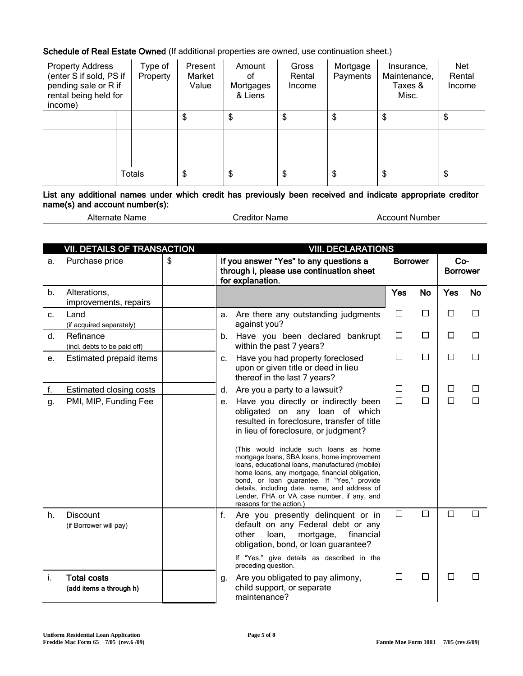Schedule of Real Estate Owned (If additional properties are owned, use continuation sheet.)

| <b>Property Address</b><br>(enter S if sold, PS if<br>pending sale or R if<br>rental being held for<br>income) | Type of<br>Property | Present<br>Market<br>Value | Amount<br>οf<br>Mortgages<br>& Liens | Gross<br>Rental<br>Income | Mortgage<br>Payments | Insurance,<br>Maintenance,<br>Taxes &<br>Misc. | Net<br>Rental<br>Income |
|----------------------------------------------------------------------------------------------------------------|---------------------|----------------------------|--------------------------------------|---------------------------|----------------------|------------------------------------------------|-------------------------|
|                                                                                                                |                     | \$                         | \$                                   | \$                        | \$                   | \$                                             | \$                      |
|                                                                                                                |                     |                            |                                      |                           |                      |                                                |                         |
|                                                                                                                |                     |                            |                                      |                           |                      |                                                |                         |
|                                                                                                                | <b>Totals</b>       | \$                         | \$                                   | \$                        | \$                   | \$                                             | \$                      |

List any additional names under which credit has previously been received and indicate appropriate creditor name(s) and account number(s):

| Alternate Name |  |
|----------------|--|
|                |  |

**Creditor Name** Account Number

|    | <b>VII. DETAILS OF TRANSACTION</b>            | <b>VIII. DECLARATIONS</b> |                                                                                                                                                                                                                                                                                                                                                             |                 |           |                        |           |
|----|-----------------------------------------------|---------------------------|-------------------------------------------------------------------------------------------------------------------------------------------------------------------------------------------------------------------------------------------------------------------------------------------------------------------------------------------------------------|-----------------|-----------|------------------------|-----------|
| a. | Purchase price                                | \$                        | If you answer "Yes" to any questions a<br>through i, please use continuation sheet<br>for explanation.                                                                                                                                                                                                                                                      | <b>Borrower</b> |           | Co-<br><b>Borrower</b> |           |
| b. | Alterations,<br>improvements, repairs         |                           |                                                                                                                                                                                                                                                                                                                                                             | <b>Yes</b>      | <b>No</b> | <b>Yes</b>             | <b>No</b> |
| c. | Land<br>(if acquired separately)              | а.                        | Are there any outstanding judgments<br>against you?                                                                                                                                                                                                                                                                                                         | $\Box$          | $\Box$    | П                      | П         |
| d. | Refinance<br>(incl. debts to be paid off)     | b.                        | Have you been declared bankrupt<br>within the past 7 years?                                                                                                                                                                                                                                                                                                 | □               | $\Box$    | $\Box$                 | П         |
| е. | Estimated prepaid items                       | C.                        | Have you had property foreclosed<br>upon or given title or deed in lieu<br>thereof in the last 7 years?                                                                                                                                                                                                                                                     | □               | □         | □                      | □         |
| f. | Estimated closing costs                       | d.                        | Are you a party to a lawsuit?                                                                                                                                                                                                                                                                                                                               | □               | □         | ப                      | L         |
| g. | PMI, MIP, Funding Fee                         | е.                        | Have you directly or indirectly been<br>obligated on any loan of which<br>resulted in foreclosure, transfer of title<br>in lieu of foreclosure, or judgment?<br>(This would include such loans as home<br>mortgage loans, SBA loans, home improvement<br>loans, educational loans, manufactured (mobile)<br>home loans, any mortgage, financial obligation, | □               | $\Box$    | П                      | □         |
|    |                                               |                           | bond, or loan guarantee. If "Yes," provide<br>details, including date, name, and address of<br>Lender, FHA or VA case number, if any, and<br>reasons for the action.)                                                                                                                                                                                       |                 |           |                        |           |
| h. | <b>Discount</b><br>(if Borrower will pay)     | f.                        | Are you presently delinquent or in<br>default on any Federal debt or any<br>financial<br>other<br>loan,<br>mortgage,<br>obligation, bond, or loan guarantee?                                                                                                                                                                                                | $\Box$          | $\Box$    | $\Box$                 | П         |
|    |                                               |                           | If "Yes," give details as described in the<br>preceding question.                                                                                                                                                                                                                                                                                           |                 |           |                        |           |
| j. | <b>Total costs</b><br>(add items a through h) | g.                        | Are you obligated to pay alimony,<br>child support, or separate<br>maintenance?                                                                                                                                                                                                                                                                             | □               | $\Box$    | □                      | ⊔         |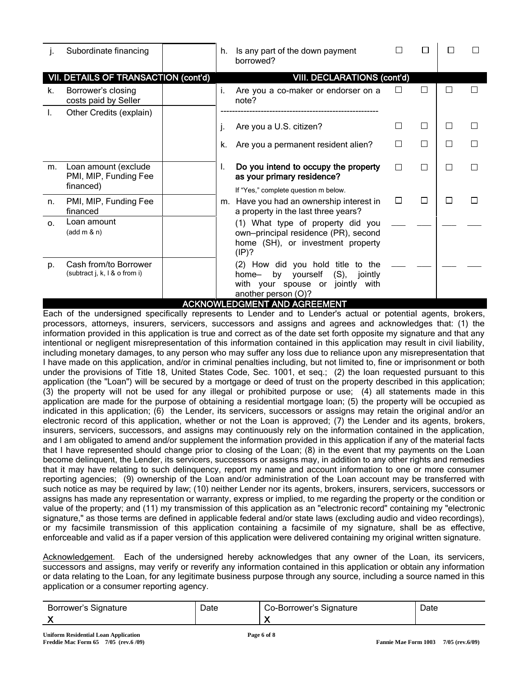| ı.       | Subordinate financing                                      | h. | Is any part of the down payment<br>borrowed?                                                                                                     |              |   |   |  |
|----------|------------------------------------------------------------|----|--------------------------------------------------------------------------------------------------------------------------------------------------|--------------|---|---|--|
|          | VII. DETAILS OF TRANSACTION (cont'd)                       |    | <b>VIII. DECLARATIONS (cont'd)</b>                                                                                                               |              |   |   |  |
| k.       | Borrower's closing<br>costs paid by Seller                 | i. | Are you a co-maker or endorser on a<br>note?                                                                                                     |              | П |   |  |
|          | Other Credits (explain)                                    |    |                                                                                                                                                  |              |   |   |  |
|          |                                                            |    | Are you a U.S. citizen?                                                                                                                          | $\mathsf{L}$ | □ |   |  |
|          |                                                            | k. | Are you a permanent resident alien?                                                                                                              | П            | П | Г |  |
| m.       | Loan amount (exclude<br>PMI, MIP, Funding Fee<br>financed) | I. | Do you intend to occupy the property<br>as your primary residence?                                                                               | П            | П | П |  |
|          |                                                            |    | If "Yes," complete question m below.                                                                                                             |              |   |   |  |
| n.       | PMI, MIP, Funding Fee<br>financed                          | m. | Have you had an ownership interest in<br>a property in the last three years?                                                                     | $\Box$       | П |   |  |
| $\Omega$ | Loan amount<br>(add m & n)                                 |    | (1) What type of property did you<br>own-principal residence (PR), second<br>home (SH), or investment property<br>(IP)?                          |              |   |   |  |
| D.       | Cash from/to Borrower<br>(subtract j, k, l & o from i)     |    | (2) How did you hold title to the<br>yourself<br>$(S)$ ,<br>by<br>jointly<br>home-<br>with your spouse or jointly<br>with<br>another person (O)? |              |   |   |  |
|          |                                                            |    | <b>ACKNOWLEDGMENT AND AGREEMENT</b>                                                                                                              |              |   |   |  |

Each of the undersigned specifically represents to Lender and to Lender's actual or potential agents, brokers, processors, attorneys, insurers, servicers, successors and assigns and agrees and acknowledges that: (1) the information provided in this application is true and correct as of the date set forth opposite my signature and that any intentional or negligent misrepresentation of this information contained in this application may result in civil liability, including monetary damages, to any person who may suffer any loss due to reliance upon any misrepresentation that I have made on this application, and/or in criminal penalties including, but not limited to, fine or imprisonment or both under the provisions of Title 18, United States Code, Sec. 1001, et seq.; (2) the loan requested pursuant to this application (the "Loan") will be secured by a mortgage or deed of trust on the property described in this application; (3) the property will not be used for any illegal or prohibited purpose or use; (4) all statements made in this application are made for the purpose of obtaining a residential mortgage loan; (5) the property will be occupied as indicated in this application; (6) the Lender, its servicers, successors or assigns may retain the original and/or an electronic record of this application, whether or not the Loan is approved; (7) the Lender and its agents, brokers, insurers, servicers, successors, and assigns may continuously rely on the information contained in the application, and I am obligated to amend and/or supplement the information provided in this application if any of the material facts that I have represented should change prior to closing of the Loan; (8) in the event that my payments on the Loan become delinquent, the Lender, its servicers, successors or assigns may, in addition to any other rights and remedies that it may have relating to such delinquency, report my name and account information to one or more consumer reporting agencies; (9) ownership of the Loan and/or administration of the Loan account may be transferred with such notice as may be required by law; (10) neither Lender nor its agents, brokers, insurers, servicers, successors or assigns has made any representation or warranty, express or implied, to me regarding the property or the condition or value of the property; and (11) my transmission of this application as an "electronic record" containing my "electronic signature," as those terms are defined in applicable federal and/or state laws (excluding audio and video recordings), or my facsimile transmission of this application containing a facsimile of my signature, shall be as effective, enforceable and valid as if a paper version of this application were delivered containing my original written signature.

Acknowledgement. Each of the undersigned hereby acknowledges that any owner of the Loan, its servicers, successors and assigns, may verify or reverify any information contained in this application or obtain any information or data relating to the Loan, for any legitimate business purpose through any source, including a source named in this application or a consumer reporting agency.

| Borrower's Signature | Date | Co-Borrower's Signature | ⊃ate |
|----------------------|------|-------------------------|------|
|                      |      |                         |      |
|                      |      |                         |      |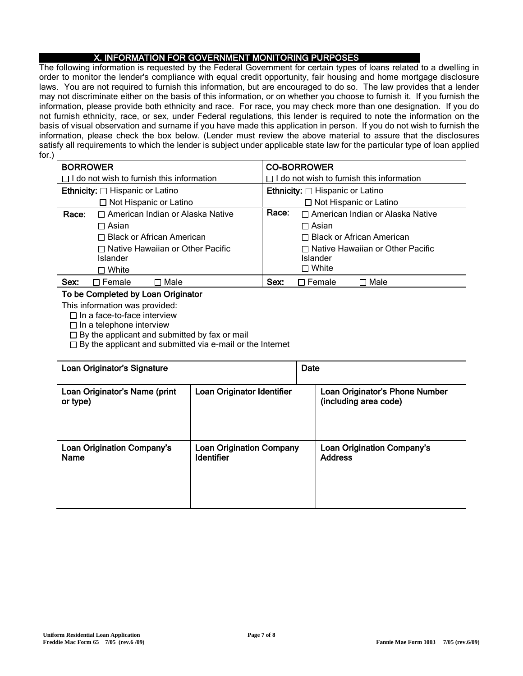## X. INFORMATION FOR GOVERNMENT MONITORING PURPOSES

The following information is requested by the Federal Government for certain types of loans related to a dwelling in order to monitor the lender's compliance with equal credit opportunity, fair housing and home mortgage disclosure laws. You are not required to furnish this information, but are encouraged to do so. The law provides that a lender may not discriminate either on the basis of this information, or on whether you choose to furnish it. If you furnish the information, please provide both ethnicity and race. For race, you may check more than one designation. If you do not furnish ethnicity, race, or sex, under Federal regulations, this lender is required to note the information on the basis of visual observation and surname if you have made this application in person. If you do not wish to furnish the information, please check the box below. (Lender must review the above material to assure that the disclosures satisfy all requirements to which the lender is subject under applicable state law for the particular type of loan applied for.)

| <b>BORROWER</b> |                                                  | <b>CO-BORROWER</b>                               |                                         |  |  |
|-----------------|--------------------------------------------------|--------------------------------------------------|-----------------------------------------|--|--|
|                 | $\Box$ I do not wish to furnish this information | $\Box$ I do not wish to furnish this information |                                         |  |  |
|                 | <b>Ethnicity:</b> □ Hispanic or Latino           | <b>Ethnicity:</b> □ Hispanic or Latino           |                                         |  |  |
|                 | $\Box$ Not Hispanic or Latino                    |                                                  | $\Box$ Not Hispanic or Latino           |  |  |
| Race:           | □ American Indian or Alaska Native               | Race:                                            | $\Box$ American Indian or Alaska Native |  |  |
|                 | $\Box$ Asian                                     | $\Box$ Asian                                     |                                         |  |  |
|                 | $\Box$ Black or African American                 | $\Box$ Black or African American                 |                                         |  |  |
|                 | $\Box$ Native Hawaiian or Other Pacific          |                                                  | $\Box$ Native Hawaiian or Other Pacific |  |  |
|                 | Islander                                         |                                                  | Islander                                |  |  |
|                 | $\square$ White                                  |                                                  | $\Box$ White                            |  |  |
| Sex:            | $\sqcap$ Male<br>$\sqcap$ Female                 | Sex:                                             | ∩ Male<br>Female                        |  |  |

## To be Completed by Loan Originator

This information was provided:

 $\Box$  In a face-to-face interview

 $\Box$  In a telephone interview

 $\Box$  By the applicant and submitted by fax or mail

 $\Box$  By the applicant and submitted via e-mail or the Internet

| Loan Originator's Signature                      |                                                      | Date |                                                         |
|--------------------------------------------------|------------------------------------------------------|------|---------------------------------------------------------|
| Loan Originator's Name (print<br>or type)        | Loan Originator Identifier                           |      | Loan Originator's Phone Number<br>(including area code) |
| <b>Loan Origination Company's</b><br><b>Name</b> | <b>Loan Origination Company</b><br><b>Identifier</b> |      | <b>Loan Origination Company's</b><br><b>Address</b>     |